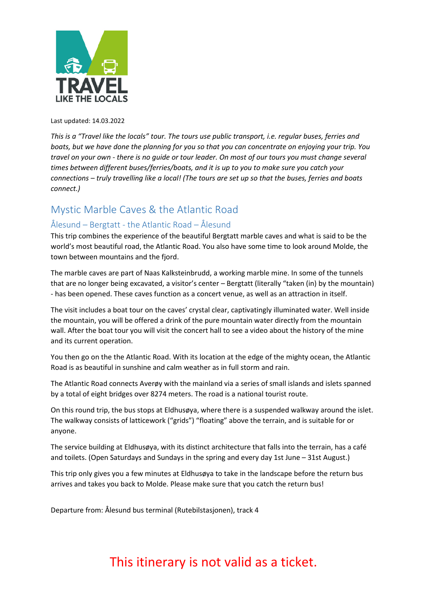

Last updated: 14.03.2022

*This is a "Travel like the locals" tour. The tours use public transport, i.e. regular buses, ferries and boats, but we have done the planning for you so that you can concentrate on enjoying your trip. You travel on your own - there is no guide or tour leader. On most of our tours you must change several times between different buses/ferries/boats, and it is up to you to make sure you catch your connections – truly travelling like a local! (The tours are set up so that the buses, ferries and boats connect.)*

### Mystic Marble Caves & the Atlantic Road

#### Ålesund – Bergtatt - the Atlantic Road – Ålesund

This trip combines the experience of the beautiful Bergtatt marble caves and what is said to be the world's most beautiful road, the Atlantic Road. You also have some time to look around Molde, the town between mountains and the fjord.

The marble caves are part of Naas Kalksteinbrudd, a working marble mine. In some of the tunnels that are no longer being excavated, a visitor's center – Bergtatt (literally "taken (in) by the mountain) - has been opened. These caves function as a concert venue, as well as an attraction in itself.

The visit includes a boat tour on the caves' crystal clear, captivatingly illuminated water. Well inside the mountain, you will be offered a drink of the pure mountain water directly from the mountain wall. After the boat tour you will visit the concert hall to see a video about the history of the mine and its current operation.

You then go on the the Atlantic Road. With its location at the edge of the mighty ocean, the Atlantic Road is as beautiful in sunshine and calm weather as in full storm and rain.

The Atlantic Road connects Averøy with the mainland via a series of small islands and islets spanned by a total of eight bridges over 8274 meters. The road is a national tourist route.

On this round trip, the bus stops at Eldhusøya, where there is a suspended walkway around the islet. The walkway consists of latticework ("grids") "floating" above the terrain, and is suitable for or anyone.

The service building at Eldhusøya, with its distinct architecture that falls into the terrain, has a café and toilets. (Open Saturdays and Sundays in the spring and every day 1st June – 31st August.)

This trip only gives you a few minutes at Eldhusøya to take in the landscape before the return bus arrives and takes you back to Molde. Please make sure that you catch the return bus!

Departure from: Ålesund bus terminal (Rutebilstasjonen), track 4

# This itinerary is not valid as a ticket.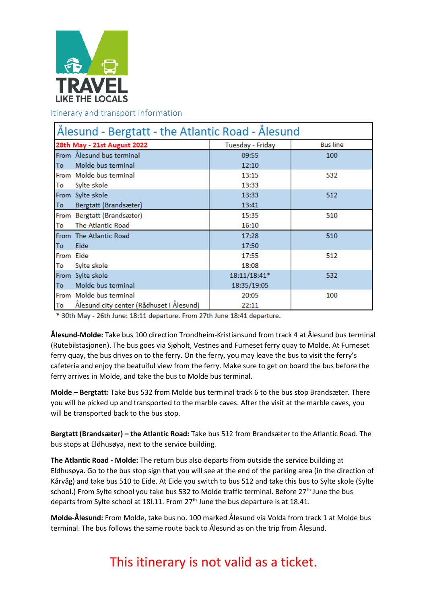

Itinerary and transport information

| Ålesund - Bergtatt - the Atlantic Road - Ålesund |                                          |                  |                 |
|--------------------------------------------------|------------------------------------------|------------------|-----------------|
| 28th May - 21st August 2022                      |                                          | Tuesday - Friday | <b>Bus line</b> |
|                                                  | From Ålesund bus terminal                | 09:55            | 100             |
| To                                               | Molde bus terminal                       | 12:10            |                 |
|                                                  | From Molde bus terminal                  | 13:15            | 532             |
| To                                               | Sylte skole                              | 13:33            |                 |
|                                                  | From Sylte skole                         | 13:33            | 512             |
| To                                               | Bergtatt (Brandsæter)                    | 13:41            |                 |
|                                                  | From Bergtatt (Brandsæter)               | 15:35            | 510             |
| To                                               | The Atlantic Road                        | 16:10            |                 |
|                                                  | From The Atlantic Road                   | 17:28            | 510             |
| <b>To</b>                                        | Eide                                     | 17:50            |                 |
| From Eide                                        |                                          | 17:55            | 512             |
| To                                               | Sylte skole                              | 18:08            |                 |
|                                                  | From Sylte skole                         | 18:11/18:41*     | 532             |
| To                                               | Molde bus terminal                       | 18:35/19:05      |                 |
|                                                  | From Molde bus terminal                  | 20:05            | 100             |
| To                                               | Ålesund city center (Rådhuset i Ålesund) | 22:11            |                 |

\* 30th May - 26th June: 18:11 departure. From 27th June 18:41 departure.

**Ålesund-Molde:** Take bus 100 direction Trondheim-Kristiansund from track 4 at Ålesund bus terminal (Rutebilstasjonen). The bus goes via Sjøholt, Vestnes and Furneset ferry quay to Molde. At Furneset ferry quay, the bus drives on to the ferry. On the ferry, you may leave the bus to visit the ferry's cafeteria and enjoy the beatuiful view from the ferry. Make sure to get on board the bus before the ferry arrives in Molde, and take the bus to Molde bus terminal.

**Molde – Bergtatt:** Take bus 532 from Molde bus terminal track 6 to the bus stop Brandsæter. There you will be picked up and transported to the marble caves. After the visit at the marble caves, you will be transported back to the bus stop.

**Bergtatt (Brandsæter) – the Atlantic Road:** Take bus 512 from Brandsæter to the Atlantic Road. The bus stops at Eldhusøya, next to the service building.

**The Atlantic Road - Molde:** The return bus also departs from outside the service building at Eldhusøya. Go to the bus stop sign that you will see at the end of the parking area (in the direction of Kårvåg) and take bus 510 to Eide. At Eide you switch to bus 512 and take this bus to Sylte skole (Sylte school.) From Sylte school you take bus 532 to Molde traffic terminal. Before 27<sup>th</sup> June the bus departs from Sylte school at 18l.11. From  $27<sup>th</sup>$  June the bus departure is at 18.41.

**Molde-Ålesund:** From Molde, take bus no. 100 marked Ålesund via Volda from track 1 at Molde bus terminal. The bus follows the same route back to Ålesund as on the trip from Ålesund.

## This itinerary is not valid as a ticket.